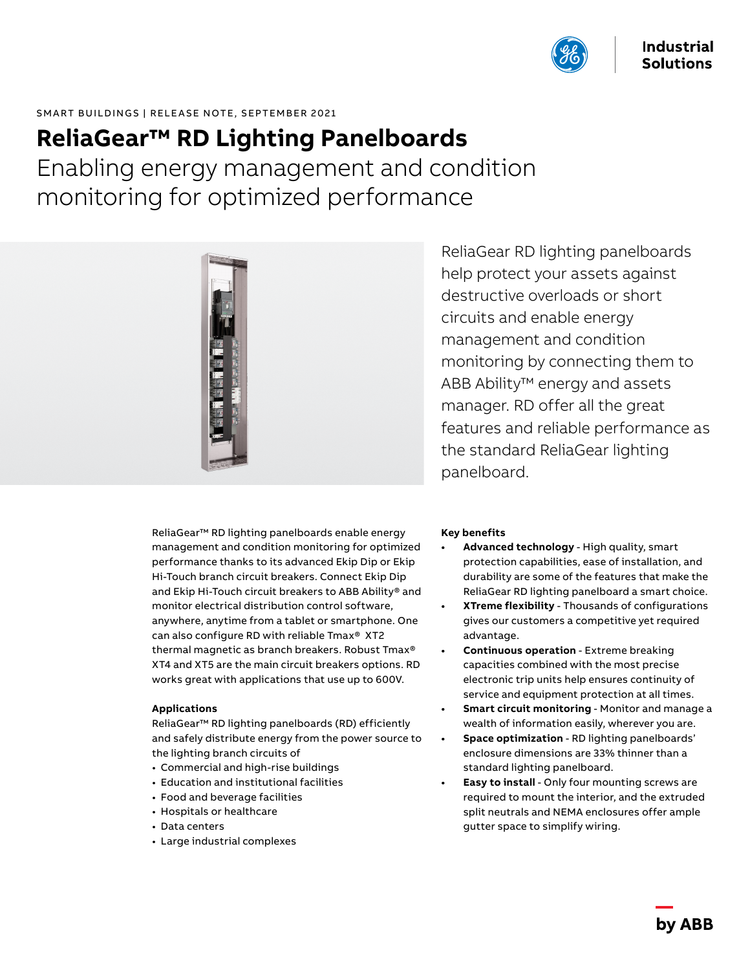

# SMART BUILDINGS | RELEASE NOTE, SEPTEMBER 2021

# **ReliaGear™ RD Lighting Panelboards**

Enabling energy management and condition monitoring for optimized performance



ReliaGear™ RD lighting panelboards enable energy management and condition monitoring for optimized performance thanks to its advanced Ekip Dip or Ekip Hi-Touch branch circuit breakers. Connect Ekip Dip and Ekip Hi-Touch circuit breakers to ABB Ability® and monitor electrical distribution control software, anywhere, anytime from a tablet or smartphone. One can also configure RD with reliable Tmax® XT2 thermal magnetic as branch breakers. Robust Tmax® XT4 and XT5 are the main circuit breakers options. RD works great with applications that use up to 600V.

#### **Applications**

ReliaGear™ RD lighting panelboards (RD) efficiently and safely distribute energy from the power source to the lighting branch circuits of

- Commercial and high-rise buildings
- Education and institutional facilities
- Food and beverage facilities
- Hospitals or healthcare
- Data centers
- Large industrial complexes

ReliaGear RD lighting panelboards help protect your assets against destructive overloads or short circuits and enable energy management and condition monitoring by connecting them to ABB Ability™ energy and assets manager. RD offer all the great features and reliable performance as the standard ReliaGear lighting panelboard.

# **Key benefits**

- **• Advanced technology** High quality, smart protection capabilities, ease of installation, and durability are some of the features that make the ReliaGear RD lighting panelboard a smart choice.
- **• XTreme flexibility** Thousands of configurations gives our customers a competitive yet required advantage.
- **• Continuous operation** Extreme breaking capacities combined with the most precise electronic trip units help ensures continuity of service and equipment protection at all times.
- **• Smart circuit monitoring** Monitor and manage a wealth of information easily, wherever you are.
- **• Space optimization** RD lighting panelboards' enclosure dimensions are 33% thinner than a standard lighting panelboard.
- **• Easy to install** Only four mounting screws are required to mount the interior, and the extruded split neutrals and NEMA enclosures offer ample gutter space to simplify wiring.